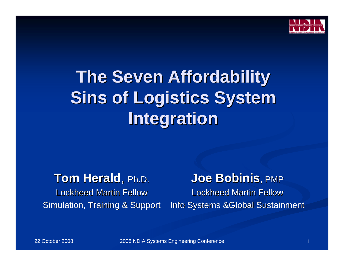

# **The Seven Affordability The Seven Affordability Sins of Logistics System Integration**

### **Tom Herald**, Ph.D.

Lockheed Martin Fellow Simulation, Training & Support

# **Joe Bobinis Joe Bobinis**, PMP

Lockheed Martin Fellow Info Systems &Global Sustainment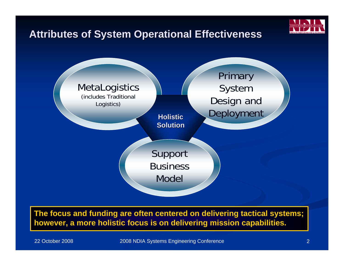#### **Attributes of System Operational Effectiveness Attributes of System Operational Effectiveness**



#### The focus and funding are often centered on delivering tactical systems; **however, a more holistic focus is on delivering mission capabilities.**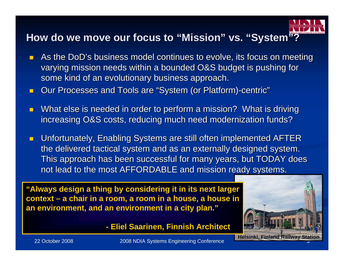#### How do we move our focus to "Mission" vs. "System"?

- $\blacksquare$ As the DoD's business model continues to evolve, its focus on meeting varying mission needs within a bounded O&S budget is pushing for some kind of an evolutionary business approach.
- $\overline{\phantom{0}}$ Our Processes and Tools are "System (or Platform)-centric"
- $\overline{\phantom{0}}$ What else is needed in order to perform a mission? What is driving increasing O&S costs, reducing much need modernization funds?
- $\blacksquare$ Unfortunately, Enabling Systems are still often implemented AFTER the delivered tactical system and as an externally designed system. This approach has been successful for many years, but TODAY does not lead to the most AFFORDABLE and mission ready systems.

"Always design a thing by considering it in its next larger **context – a chair in a room, a room in a house, a house in an environment, and an environment in a city plan."** 

**- Eliel Saarinen, Finnish Architect Saarinen, Finnish Architect** 

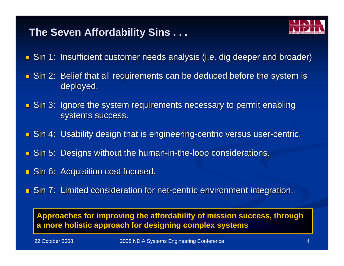### **The Seven Affordability Sins . . . The Seven Affordability Sins . . .**

- 
- $\blacksquare$  Sin 1: Insufficient customer needs analysis (i.e. dig deeper and broader)
- $\blacksquare$  Sin 2: Belief that all requirements can be deduced before the system is deployed.
- $\blacksquare$  Sin 3: Ignore the system requirements necessary to permit enabling systems success.
- $\blacksquare$  Sin 4: Usability design that is engineering-centric versus user-centric.
- Sin 5: Designs without the human-in-the-loop considerations.
- $\blacksquare$  Sin 6: Acquisition cost focused.
- **Sin 7: Limited consideration for net-centric environment integration.**

Approaches for improving the affordability of mission success, through **a more holistic approach for designing complex systems a more holistic approach for designing complex systems**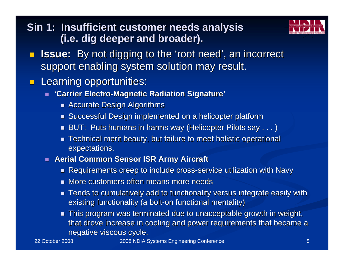### **Sin 1: Insufficient customer needs analysis (i.e. dig deeper and broader). (i.e. dig deeper and broader).**



- $\blacksquare$ **Issue:** By not digging to the 'root need', an incorrect support enabling system solution may result.
- $\blacksquare$ Learning opportunities:
	- п **'Carrier Electro-Magnetic Radiation Signature'** 
		- $\blacksquare$  Accurate Design Algorithms
		- Successful Design implemented on a helicopter platform
		- $\blacksquare$  BUT: Puts humans in harms way (Helicopter Pilots say  $\ldots$  )
		- $\blacksquare$  Technical merit beauty, but failure to meet holistic operational expectations.
	- п **Aerial Common Sensor ISR Army Aircraft** 
		- $\blacksquare$  Requirements creep to include cross-service utilization with Navy
		- $\blacksquare$  More customers often means more needs
		- $\blacksquare$  Tends to cumulatively add to functionality versus integrate easily with existing functionality (a bolt-on functional mentality)
		- $\blacksquare$  This program was terminated due to unacceptable growth in weight, that drove increase in cooling and power requirements that became a negative viscous cycle.

22 October 2008

2008 NDIA Systems Engineering Conference 5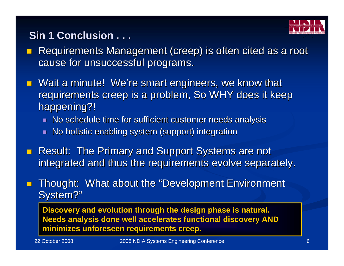

# **Sin 1 Conclusion . . .**

- $\mathcal{L}$ Requirements Management (creep) is often cited as a root cause for unsuccessful programs.
- $\blacksquare$  Wait a minute! We're smart engineers, we know that requirements creep is a problem, So WHY does it keep happening?!
	- ш No schedule time for sufficient customer needs analysis
	- П No holistic enabling system (support) integration
- **Result: The Primary and Support Systems are not** integrated and thus the requirements evolve separately.
- П Thought: What about the "Development Environment" System?"

**Discovery and evolution through the design phase is natural. Needs analysis done well accelerates functional discovery AND minimizes unforeseen requirements creep. minimizes unforeseen requirements creep.**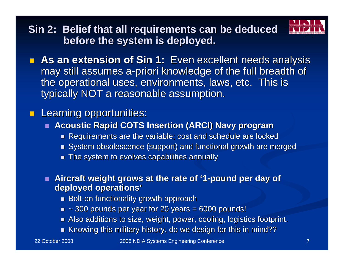

**Sin 2: Belief that all requirements can be deduced before the system is deployed. before the system is deployed.**

**As an extension of Sin 1:** Even excellent needs analysis may still assumes a-priori knowledge of the full breadth of the operational uses, environments, laws, etc. This is typically NOT a reasonable assumption.

#### **Learning opportunities:**

- **Acoustic Rapid COTS Insertion (ARCI) Navy program**
	- $\blacksquare$  Requirements are the variable; cost and schedule are locked
	- $\textcolor{red}{\blacksquare}$  System obsolescence (support) and functional growth are merged
	- $\blacksquare$  The system to evolves capabilities annually
- **Aircraft weight grows at the rate of '1-pound per day of deployed operations' deployed operations'**
	- $\blacksquare$  Bolt-on functionality growth approach
	- $\bullet\,$  ~ 300 pounds per year for 20 years = 6000 pounds!
	- $\blacksquare$  Also additions to size, weight, power, cooling, logistics footprint.
	- $\blacksquare$  Knowing this military history, do we design for this in mind??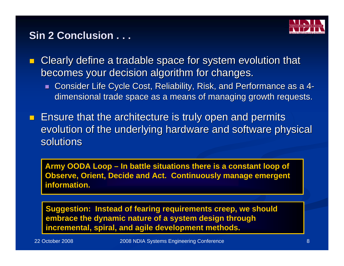

#### **Sin 2 Conclusion . . .**

П Clearly define a tradable space for system evolution that becomes your decision algorithm for changes. becomes your decision algorithm for changes.

- $\blacksquare$  Consider Life Cycle Cost, Reliability, Risk, and Performance as a 4dimensional trade space as a means of managing growth requests.
- **E** Ensure that the architecture is truly open and permits evolution of the underlying hardware and software physical solutions

Army OODA Loop – In battle situations there is a constant loop of **Observe, Orient, Decide and Act. Continuously manage emergent information. information.**

**Suggestion: Instead of fearing requirements creep, we should embrace the dynamic nature of a system design through** incremental, spiral, and agile development methods.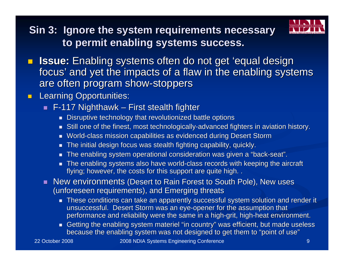**Sin 3: Ignore the system requirements necessary to permit enabling systems success. to permit enabling systems success.**



- $\blacksquare$ **Issue:** Enabling systems often do not get 'equal design focus' and yet the impacts of a flaw in the enabling systems are often program show-stoppers
- $\blacksquare$  Learning Opportunities: Learning Opportunities:
	- $\blacksquare$  F-117 Nighthawk First stealth fighter
		- $\blacksquare$  Disruptive technology that revolutionized battle options
		- $\blacksquare$  Still one of the finest, most technologically-advanced fighters in aviation history.
		- п World-class mission capabilities as evidenced during Desert Storm
		- $\overline{\phantom{0}}$ The initial design focus was stealth fighting capability, quickly.
		- ᆜ The enabling system operational consideration was given a "back-seat".
		- $\blacksquare$  The enabling systems also have world-class records with keeping the aircraft flying; however, the costs for this support are quite high. .
	- New environments (Desert to Rain Forest to South Pole), New uses (unforeseen requirements), and Emerging threats
		- $\blacksquare$  These conditions can take an apparently successful system solution and render it unsuccessful. Desert Storm was an eye-opener for the assumption that performance and reliability were the same in a high-grit, high-heat environment.
		- $\blacksquare$  Getting the enabling system materiel "in country" was efficient, but made useless because the enabling system was not designed to get them to "point of use"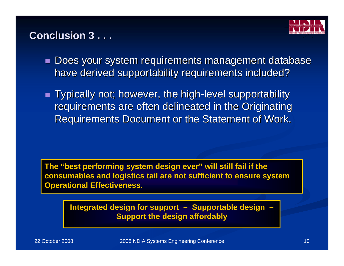

#### **Conclusion 3 . . . Conclusion 3 . . .**

- $\blacksquare$  Does your system requirements management database have derived supportability requirements included?
- $\blacksquare$  Typically not; however, the high-level supportability  $\blacksquare$ requirements are often delineated in the Originating Requirements Document or the Statement of Work.

The "best performing system design ever" will still fail if the **consumables and logistics tail are not sufficient to ensure system Operational Effectiveness.** 

> **Integrated design for support – Supportable design – Support the design affordably**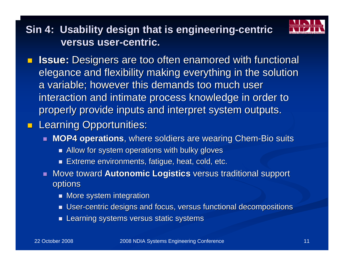

# **Sin 4: Usability design that is engineering-centric versus user-centric.**

 $\Box$ **Issue:** Designers are too often enamored with functional elegance and flexibility making everything in the solution a variable; however this demands too much user interaction and intimate process knowledge in order to properly provide inputs and interpret system outputs.

#### **Learning Opportunities:**

- **MOP4 operations**, where soldiers are wearing Chem-Bio suits
	- $\blacksquare$  Allow for system operations with bulky gloves
	- $\blacksquare$ Extreme environments, fatigue, heat, cold, etc.
- . Move toward **Autonomic Logistics** versus traditional support options
	- $\blacksquare$  More system integration
	- $\blacksquare$  User-centric designs and focus, versus functional decompositions
	- $\blacksquare$ Learning systems versus static systems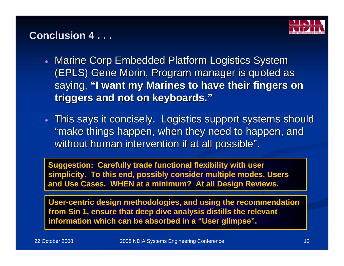

#### **Conclusion 4 . . . Conclusion 4 . . .**

- Marine Corp Embedded Platform Logistics System (EPLS) Gene Morin, Program manager is quoted as saying, "I want my Marines to have their fingers on **triggers and not on keyboards." triggers and not on keyboards."**
- $\bullet~$  This says it concisely. Logistics support systems should "make things happen, when they need to happen, and without human intervention if at all possible".

**Suggestion: Carefully trade functional flexibility with user simplicity. To this end, possibly consider multiple modes, Users and Use Cases. WHEN at a minimum? At all Design Reviews.** 

**User-centric design methodologies, and using the recommendation centric design methodologies, and using the recommendation from Sin 1, ensure that deep dive analysis distills the relevant from Sin 1, ensure that deep dive analysis distills the relevant** information which can be absorbed in a "User glimpse".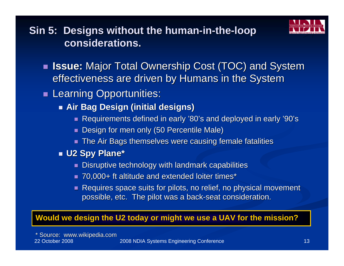

**Sin 5: Designs without the human-in-the-loop considerations. considerations.** 

- $\blacksquare$ **Issue:** Major Total Ownership Cost (TOC) and System effectiveness are driven by Humans in the System
- **Learning Opportunities:** 
	- **Air Bag Design (initial designs) Air Bag Design (initial designs)**
		- Requirements defined in early '80's and deployed in early '90's
		- п Design for men only (50 Percentile Male)
		- $\blacksquare$  The Air Bags themselves were causing female fatalities
	- **U2 Spy Plane\* U2 Spy Plane\***
		- $\blacksquare$  Disruptive technology with landmark capabilities
		- 70,000+ ft altitude and extended loiter times<sup>\*</sup>
		- $\overline{\phantom{0}}$ Requires space suits for pilots, no relief, no physical movement possible, etc. The pilot was a back-seat consideration.

#### **Would we design the U2 today or might we use a UAV for the mission?**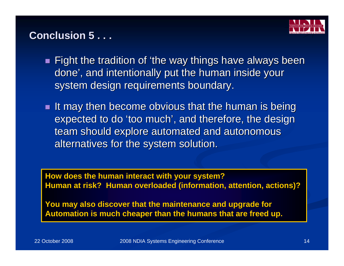

#### **Conclusion 5...**

- $\blacksquare$  Fight the tradition of 'the way things have always been done', and intentionally put the human inside your system design requirements boundary.
- $\blacksquare$  It may then become obvious that the human is being expected to do 'too much', and therefore, the design team should explore automated and autonomous alternatives for the system solution.

**How does the human interact with your system? How does the human interact with your system? Human at risk? Human overloaded (information, attention, actions)?** 

**You may also discover that the maintenance and upgrade for** Automation is much cheaper than the humans that are freed up.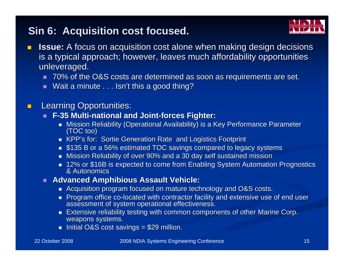#### **Sin 6: Acquisition cost focused. Sin 6: Acquisition cost focused.**

- 
- $\blacksquare$ **Issue:** A focus on acquisition cost alone when making design decisions is a typical approach; however, leaves much affordability opportunities unleveraged.
	- $\blacksquare$  70% of the O&S costs are determined as soon as requirements are set.
	- П Wait a minute . . . Isn't this a good thing?
- $\blacksquare$  Learning Opportunities: Learning Opportunities:
	- ┙ **F-35 Multi 35 Multi-national and Joint national and Joint-forces Fighter: forces Fighter:**
		- Mission Reliability (Operational Availability) is a Key Performance Parameter<br>(TOC too)
		- KPP's for: Sortie Generation Rate and Logistics Footprint
		- $\textcolor{red}{\bullet}$  \$135 B or a 56% estimated TOC savings compared to legacy systems
		- $\blacksquare$  Mission Reliability of over 90% and a 30 day self sustained mission
		- 12% or \$16B is expected to come from Enabling System Automation Prognostics<br>& Autonomics & Autonomics
	- **Advanced Amphibious Assault Vehicle: Advanced Amphibious Assault Vehicle:**
		- $\blacksquare$  Acquisition program focused on mature technology and O&S costs.
		- Program office co-located with contractor facility and extensive use of end user<br>assessment of system operational effectiveness.
		- $\blacksquare$  Extensive reliability testing with common components of other Marine Corp. weapons systems.
		- Initial O&S cost savings =  $$29$  million.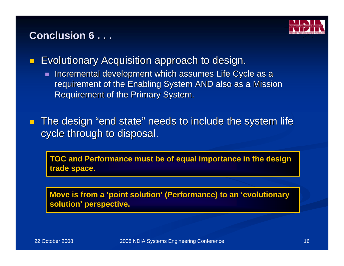#### **Conclusion 6...**



П Evolutionary Acquisition approach to design. Evolutionary Acquisition approach to design.

- $\blacksquare$ Incremental development which assumes Life Cycle as a requirement of the Enabling System AND also as a Mission Requirement of the Primary System.
- **The design "end state" needs to include the system life**  $\blacksquare$ cycle through to disposal.

**TOC and Performance must be of equal importance in the design TOC and Performance must be of equal importance in the design**  trade space.

**Move is from a 'point solution' (Performance) to an 'evolutionary solution' perspective. solution' perspective.**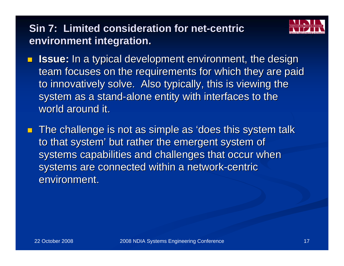# **Sin 7: Limited consideration for net-centric environment integration. environment integration.**

- 
- $\blacksquare$ **Issue:** In a typical development environment, the design team focuses on the requirements for which they are paid to innovatively solve. Also typically, this is viewing the system as a stand-alone entity with interfaces to the world around it.
- $\blacksquare$  The challenge is not as simple as 'does this system talk to that system' but rather the emergent system of systems capabilities and challenges that occur when systems are connected within a network-centric environment.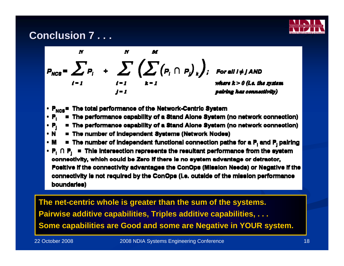#### **Conclusion 7...**





- $\cdot$  P<sub>NCS</sub> = The total performance of the Network-Centric System
- The performance capability of a Stand Alone System (no network connection) • P.
- The performance capability of a Stand Alone System (no network connection)  $\cdot$  P,  $\cdot$
- N ■ The number of Independent Systems (Network Nodes)
- $\cdot$  M  $\cdot$ **E** The number of independent functional connection paths for a  $P_1$  and  $P_2$  pairing
- $P_1 \cap P_1$  = This intersection represents the resultant performance from the system connectivity, which could be Zero if there is no system advantage or detractor, Positive if the connectivity advantages the ConOps (Mission Needs) or Negative if the connectivity is not required by the ConOps (i.e. outside of the mission performance boundaries)

**The net The net-centric whole is greater than the sum of the systems. centric whole is greater than the sum of the systems. Pairwise Pairwise additive capabilities, Triples additive capabilities, . . . additive capabilities, Triples additive capabilities, . . . Some capabilities are Good and some are Negative in YOUR system.**